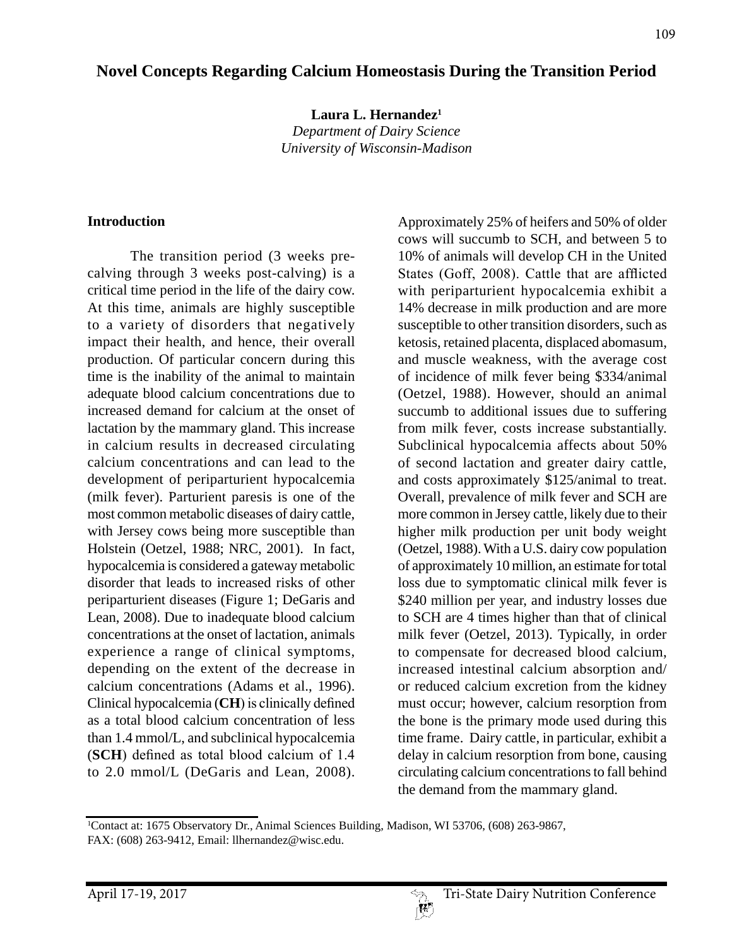# **Novel Concepts Regarding Calcium Homeostasis During the Transition Period**

**Laura L. Hernandez1** *Department of Dairy Science*

*University of Wisconsin-Madison*

#### **Introduction**

The transition period (3 weeks precalving through 3 weeks post-calving) is a critical time period in the life of the dairy cow. At this time, animals are highly susceptible to a variety of disorders that negatively impact their health, and hence, their overall production. Of particular concern during this time is the inability of the animal to maintain adequate blood calcium concentrations due to increased demand for calcium at the onset of lactation by the mammary gland. This increase in calcium results in decreased circulating calcium concentrations and can lead to the development of periparturient hypocalcemia (milk fever). Parturient paresis is one of the most common metabolic diseases of dairy cattle, with Jersey cows being more susceptible than Holstein (Oetzel, 1988; NRC, 2001). In fact, hypocalcemia is considered a gateway metabolic disorder that leads to increased risks of other periparturient diseases (Figure 1; DeGaris and Lean, 2008). Due to inadequate blood calcium concentrations at the onset of lactation, animals experience a range of clinical symptoms, depending on the extent of the decrease in calcium concentrations (Adams et al., 1996). Clinical hypocalcemia (**CH**) is clinically defined as a total blood calcium concentration of less than 1.4 mmol/L, and subclinical hypocalcemia (**SCH**) defined as total blood calcium of 1.4 to 2.0 mmol/L (DeGaris and Lean, 2008).

Approximately 25% of heifers and 50% of older cows will succumb to SCH, and between 5 to 10% of animals will develop CH in the United States (Goff, 2008). Cattle that are afflicted with periparturient hypocalcemia exhibit a 14% decrease in milk production and are more susceptible to other transition disorders, such as ketosis, retained placenta, displaced abomasum, and muscle weakness, with the average cost of incidence of milk fever being \$334/animal (Oetzel, 1988). However, should an animal succumb to additional issues due to suffering from milk fever, costs increase substantially. Subclinical hypocalcemia affects about 50% of second lactation and greater dairy cattle, and costs approximately \$125/animal to treat. Overall, prevalence of milk fever and SCH are more common in Jersey cattle, likely due to their higher milk production per unit body weight (Oetzel, 1988). With a U.S. dairy cow population of approximately 10 million, an estimate for total loss due to symptomatic clinical milk fever is \$240 million per year, and industry losses due to SCH are 4 times higher than that of clinical milk fever (Oetzel, 2013). Typically, in order to compensate for decreased blood calcium, increased intestinal calcium absorption and/ or reduced calcium excretion from the kidney must occur; however, calcium resorption from the bone is the primary mode used during this time frame. Dairy cattle, in particular, exhibit a delay in calcium resorption from bone, causing circulating calcium concentrations to fall behind the demand from the mammary gland.

<sup>1</sup> Contact at: 1675 Observatory Dr., Animal Sciences Building, Madison, WI 53706, (608) 263-9867, FAX: (608) 263-9412, Email: llhernandez@wisc.edu.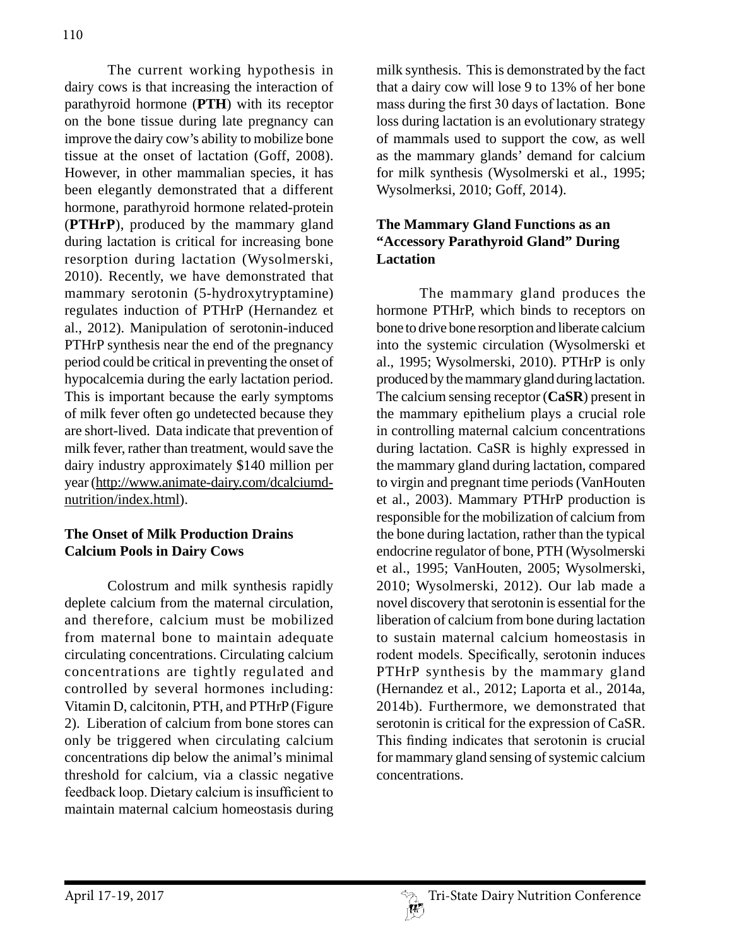The current working hypothesis in dairy cows is that increasing the interaction of parathyroid hormone (**PTH**) with its receptor on the bone tissue during late pregnancy can improve the dairy cow's ability to mobilize bone tissue at the onset of lactation (Goff, 2008). However, in other mammalian species, it has been elegantly demonstrated that a different hormone, parathyroid hormone related-protein (**PTHrP**), produced by the mammary gland during lactation is critical for increasing bone resorption during lactation (Wysolmerski, 2010). Recently, we have demonstrated that mammary serotonin (5-hydroxytryptamine) regulates induction of PTHrP (Hernandez et al., 2012). Manipulation of serotonin-induced PTHrP synthesis near the end of the pregnancy period could be critical in preventing the onset of hypocalcemia during the early lactation period. This is important because the early symptoms of milk fever often go undetected because they are short-lived. Data indicate that prevention of milk fever, rather than treatment, would save the dairy industry approximately \$140 million per year (http://www.animate-dairy.com/dcalciumdnutrition/index.html).

# **The Onset of Milk Production Drains Calcium Pools in Dairy Cows**

Colostrum and milk synthesis rapidly deplete calcium from the maternal circulation, and therefore, calcium must be mobilized from maternal bone to maintain adequate circulating concentrations. Circulating calcium concentrations are tightly regulated and controlled by several hormones including: Vitamin D, calcitonin, PTH, and PTHrP (Figure 2). Liberation of calcium from bone stores can only be triggered when circulating calcium concentrations dip below the animal's minimal threshold for calcium, via a classic negative feedback loop. Dietary calcium is insufficient to maintain maternal calcium homeostasis during milk synthesis. This is demonstrated by the fact that a dairy cow will lose 9 to 13% of her bone mass during the first 30 days of lactation. Bone loss during lactation is an evolutionary strategy of mammals used to support the cow, as well as the mammary glands' demand for calcium for milk synthesis (Wysolmerski et al., 1995; Wysolmerksi, 2010; Goff, 2014).

#### **The Mammary Gland Functions as an "Accessory Parathyroid Gland" During Lactation**

The mammary gland produces the hormone PTHrP, which binds to receptors on bone to drive bone resorption and liberate calcium into the systemic circulation (Wysolmerski et al., 1995; Wysolmerski, 2010). PTHrP is only produced by the mammary gland during lactation. The calcium sensing receptor (**CaSR**) present in the mammary epithelium plays a crucial role in controlling maternal calcium concentrations during lactation. CaSR is highly expressed in the mammary gland during lactation, compared to virgin and pregnant time periods (VanHouten et al., 2003). Mammary PTHrP production is responsible for the mobilization of calcium from the bone during lactation, rather than the typical endocrine regulator of bone, PTH (Wysolmerski et al., 1995; VanHouten, 2005; Wysolmerski, 2010; Wysolmerski, 2012). Our lab made a novel discovery that serotonin is essential for the liberation of calcium from bone during lactation to sustain maternal calcium homeostasis in rodent models. Specifically, serotonin induces PTHrP synthesis by the mammary gland (Hernandez et al., 2012; Laporta et al., 2014a, 2014b). Furthermore, we demonstrated that serotonin is critical for the expression of CaSR. This finding indicates that serotonin is crucial for mammary gland sensing of systemic calcium concentrations.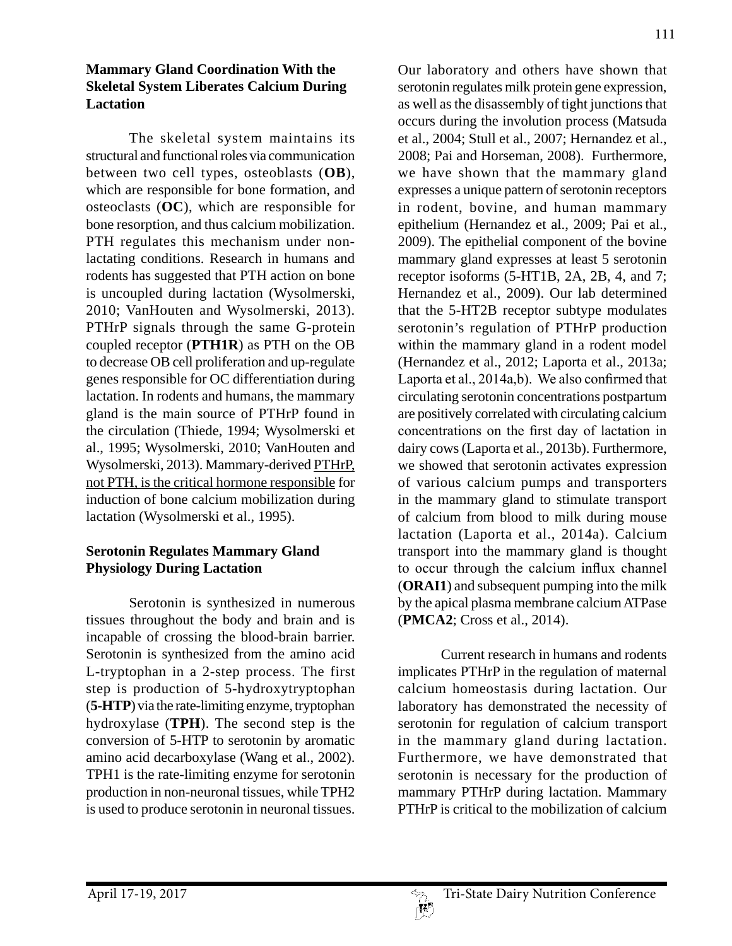#### **Mammary Gland Coordination With the Skeletal System Liberates Calcium During Lactation**

The skeletal system maintains its structural and functional roles via communication between two cell types, osteoblasts (**OB**), which are responsible for bone formation, and osteoclasts (**OC**), which are responsible for bone resorption, and thus calcium mobilization. PTH regulates this mechanism under nonlactating conditions. Research in humans and rodents has suggested that PTH action on bone is uncoupled during lactation (Wysolmerski, 2010; VanHouten and Wysolmerski, 2013). PTHrP signals through the same G-protein coupled receptor (**PTH1R**) as PTH on the OB to decrease OB cell proliferation and up-regulate genes responsible for OC differentiation during lactation. In rodents and humans, the mammary gland is the main source of PTHrP found in the circulation (Thiede, 1994; Wysolmerski et al., 1995; Wysolmerski, 2010; VanHouten and Wysolmerski, 2013). Mammary-derived PTHrP, not PTH, is the critical hormone responsible for induction of bone calcium mobilization during lactation (Wysolmerski et al., 1995).

# **Serotonin Regulates Mammary Gland Physiology During Lactation**

Serotonin is synthesized in numerous tissues throughout the body and brain and is incapable of crossing the blood-brain barrier. Serotonin is synthesized from the amino acid L-tryptophan in a 2-step process. The first step is production of 5-hydroxytryptophan (**5-HTP**) via the rate-limiting enzyme, tryptophan hydroxylase (**TPH**). The second step is the conversion of 5-HTP to serotonin by aromatic amino acid decarboxylase (Wang et al., 2002). TPH1 is the rate-limiting enzyme for serotonin production in non-neuronal tissues, while TPH2 is used to produce serotonin in neuronal tissues.

Our laboratory and others have shown that serotonin regulates milk protein gene expression, as well as the disassembly of tight junctions that occurs during the involution process (Matsuda et al., 2004; Stull et al., 2007; Hernandez et al., 2008; Pai and Horseman, 2008). Furthermore, we have shown that the mammary gland expresses a unique pattern of serotonin receptors in rodent, bovine, and human mammary epithelium (Hernandez et al., 2009; Pai et al., 2009). The epithelial component of the bovine mammary gland expresses at least 5 serotonin receptor isoforms (5-HT1B, 2A, 2B, 4, and 7; Hernandez et al., 2009). Our lab determined that the 5-HT2B receptor subtype modulates serotonin's regulation of PTHrP production within the mammary gland in a rodent model (Hernandez et al., 2012; Laporta et al., 2013a; Laporta et al., 2014a,b). We also confirmed that circulating serotonin concentrations postpartum are positively correlated with circulating calcium concentrations on the first day of lactation in dairy cows (Laporta et al., 2013b). Furthermore, we showed that serotonin activates expression of various calcium pumps and transporters in the mammary gland to stimulate transport of calcium from blood to milk during mouse lactation (Laporta et al., 2014a). Calcium transport into the mammary gland is thought to occur through the calcium influx channel (**ORAI1**) and subsequent pumping into the milk by the apical plasma membrane calcium ATPase (**PMCA2**; Cross et al., 2014).

Current research in humans and rodents implicates PTHrP in the regulation of maternal calcium homeostasis during lactation. Our laboratory has demonstrated the necessity of serotonin for regulation of calcium transport in the mammary gland during lactation. Furthermore, we have demonstrated that serotonin is necessary for the production of mammary PTHrP during lactation. Mammary PTHrP is critical to the mobilization of calcium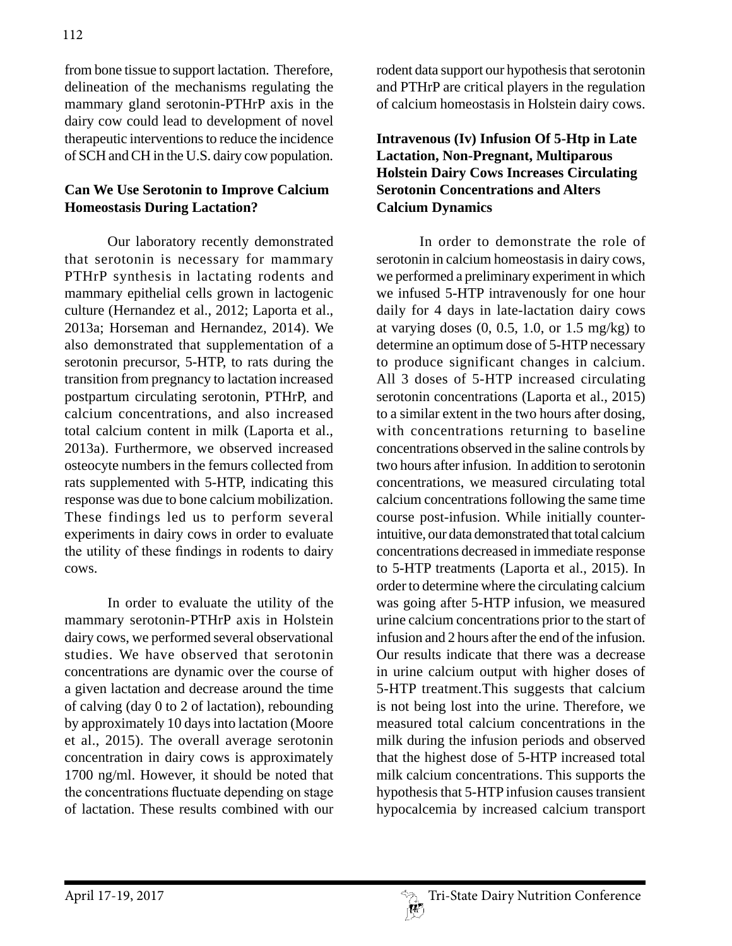from bone tissue to support lactation. Therefore, delineation of the mechanisms regulating the mammary gland serotonin-PTHrP axis in the dairy cow could lead to development of novel therapeutic interventions to reduce the incidence of SCH and CH in the U.S. dairy cow population.

# **Can We Use Serotonin to Improve Calcium Homeostasis During Lactation?**

Our laboratory recently demonstrated that serotonin is necessary for mammary PTHrP synthesis in lactating rodents and mammary epithelial cells grown in lactogenic culture (Hernandez et al., 2012; Laporta et al., 2013a; Horseman and Hernandez, 2014). We also demonstrated that supplementation of a serotonin precursor, 5-HTP, to rats during the transition from pregnancy to lactation increased postpartum circulating serotonin, PTHrP, and calcium concentrations, and also increased total calcium content in milk (Laporta et al., 2013a). Furthermore, we observed increased osteocyte numbers in the femurs collected from rats supplemented with 5-HTP, indicating this response was due to bone calcium mobilization. These findings led us to perform several experiments in dairy cows in order to evaluate the utility of these findings in rodents to dairy cows.

In order to evaluate the utility of the mammary serotonin-PTHrP axis in Holstein dairy cows, we performed several observational studies. We have observed that serotonin concentrations are dynamic over the course of a given lactation and decrease around the time of calving (day 0 to 2 of lactation), rebounding by approximately 10 days into lactation (Moore et al., 2015). The overall average serotonin concentration in dairy cows is approximately 1700 ng/ml. However, it should be noted that the concentrations fluctuate depending on stage of lactation. These results combined with our

rodent data support our hypothesis that serotonin and PTHrP are critical players in the regulation of calcium homeostasis in Holstein dairy cows.

### **Intravenous (Iv) Infusion Of 5-Htp in Late Lactation, Non-Pregnant, Multiparous Holstein Dairy Cows Increases Circulating Serotonin Concentrations and Alters Calcium Dynamics**

In order to demonstrate the role of serotonin in calcium homeostasis in dairy cows, we performed a preliminary experiment in which we infused 5-HTP intravenously for one hour daily for 4 days in late-lactation dairy cows at varying doses  $(0, 0.5, 1.0, \text{or } 1.5 \text{ mg/kg})$  to determine an optimum dose of 5-HTP necessary to produce significant changes in calcium. All 3 doses of 5-HTP increased circulating serotonin concentrations (Laporta et al., 2015) to a similar extent in the two hours after dosing, with concentrations returning to baseline concentrations observed in the saline controls by two hours after infusion. In addition to serotonin concentrations, we measured circulating total calcium concentrations following the same time course post-infusion. While initially counterintuitive, our data demonstrated that total calcium concentrations decreased in immediate response to 5-HTP treatments (Laporta et al., 2015). In order to determine where the circulating calcium was going after 5-HTP infusion, we measured urine calcium concentrations prior to the start of infusion and 2 hours after the end of the infusion. Our results indicate that there was a decrease in urine calcium output with higher doses of 5-HTP treatment.This suggests that calcium is not being lost into the urine. Therefore, we measured total calcium concentrations in the milk during the infusion periods and observed that the highest dose of 5-HTP increased total milk calcium concentrations. This supports the hypothesis that 5-HTP infusion causes transient hypocalcemia by increased calcium transport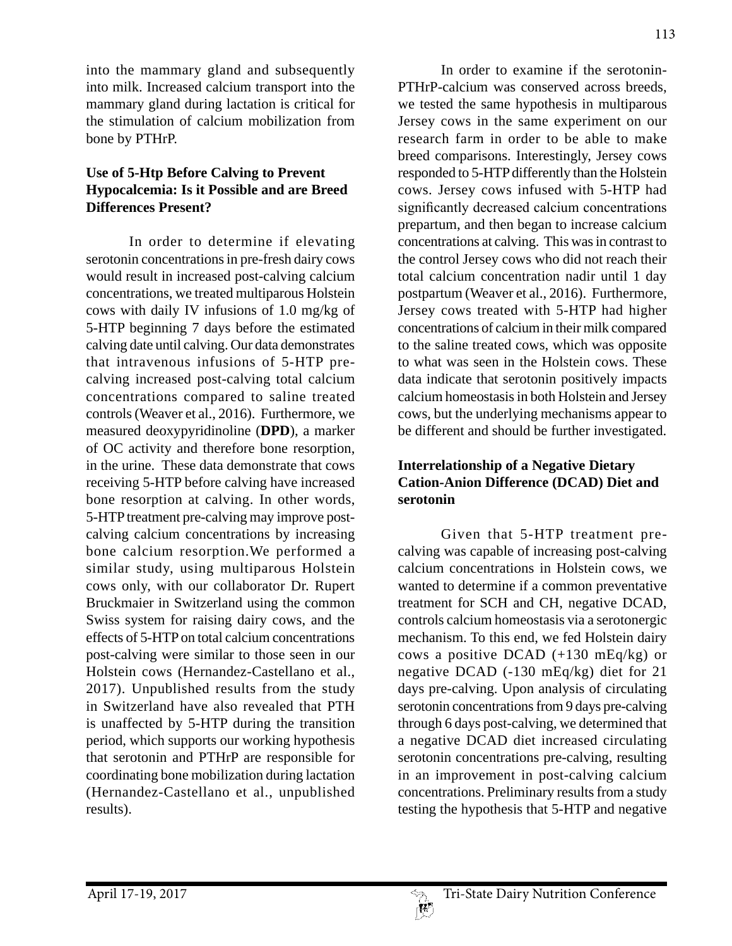into the mammary gland and subsequently into milk. Increased calcium transport into the mammary gland during lactation is critical for the stimulation of calcium mobilization from bone by PTHrP.

# **Use of 5-Htp Before Calving to Prevent Hypocalcemia: Is it Possible and are Breed Differences Present?**

In order to determine if elevating serotonin concentrations in pre-fresh dairy cows would result in increased post-calving calcium concentrations, we treated multiparous Holstein cows with daily IV infusions of 1.0 mg/kg of 5-HTP beginning 7 days before the estimated calving date until calving. Our data demonstrates that intravenous infusions of 5-HTP precalving increased post-calving total calcium concentrations compared to saline treated controls (Weaver et al., 2016). Furthermore, we measured deoxypyridinoline (**DPD**), a marker of OC activity and therefore bone resorption, in the urine. These data demonstrate that cows receiving 5-HTP before calving have increased bone resorption at calving. In other words, 5-HTP treatment pre-calving may improve postcalving calcium concentrations by increasing bone calcium resorption.We performed a similar study, using multiparous Holstein cows only, with our collaborator Dr. Rupert Bruckmaier in Switzerland using the common Swiss system for raising dairy cows, and the effects of 5-HTP on total calcium concentrations post-calving were similar to those seen in our Holstein cows (Hernandez-Castellano et al., 2017). Unpublished results from the study in Switzerland have also revealed that PTH is unaffected by 5-HTP during the transition period, which supports our working hypothesis that serotonin and PTHrP are responsible for coordinating bone mobilization during lactation (Hernandez-Castellano et al., unpublished results).

In order to examine if the serotonin-PTHrP-calcium was conserved across breeds, we tested the same hypothesis in multiparous Jersey cows in the same experiment on our research farm in order to be able to make breed comparisons. Interestingly, Jersey cows responded to 5-HTP differently than the Holstein cows. Jersey cows infused with 5-HTP had significantly decreased calcium concentrations prepartum, and then began to increase calcium concentrations at calving. This was in contrast to the control Jersey cows who did not reach their total calcium concentration nadir until 1 day postpartum (Weaver et al., 2016). Furthermore, Jersey cows treated with 5-HTP had higher concentrations of calcium in their milk compared to the saline treated cows, which was opposite to what was seen in the Holstein cows. These data indicate that serotonin positively impacts calcium homeostasis in both Holstein and Jersey cows, but the underlying mechanisms appear to be different and should be further investigated.

# **Interrelationship of a Negative Dietary Cation-Anion Difference (DCAD) Diet and serotonin**

Given that 5-HTP treatment precalving was capable of increasing post-calving calcium concentrations in Holstein cows, we wanted to determine if a common preventative treatment for SCH and CH, negative DCAD, controls calcium homeostasis via a serotonergic mechanism. To this end, we fed Holstein dairy cows a positive DCAD  $(+130 \text{ mEq/kg})$  or negative DCAD (-130 mEq/kg) diet for 21 days pre-calving. Upon analysis of circulating serotonin concentrations from 9 days pre-calving through 6 days post-calving, we determined that a negative DCAD diet increased circulating serotonin concentrations pre-calving, resulting in an improvement in post-calving calcium concentrations. Preliminary results from a study testing the hypothesis that 5-HTP and negative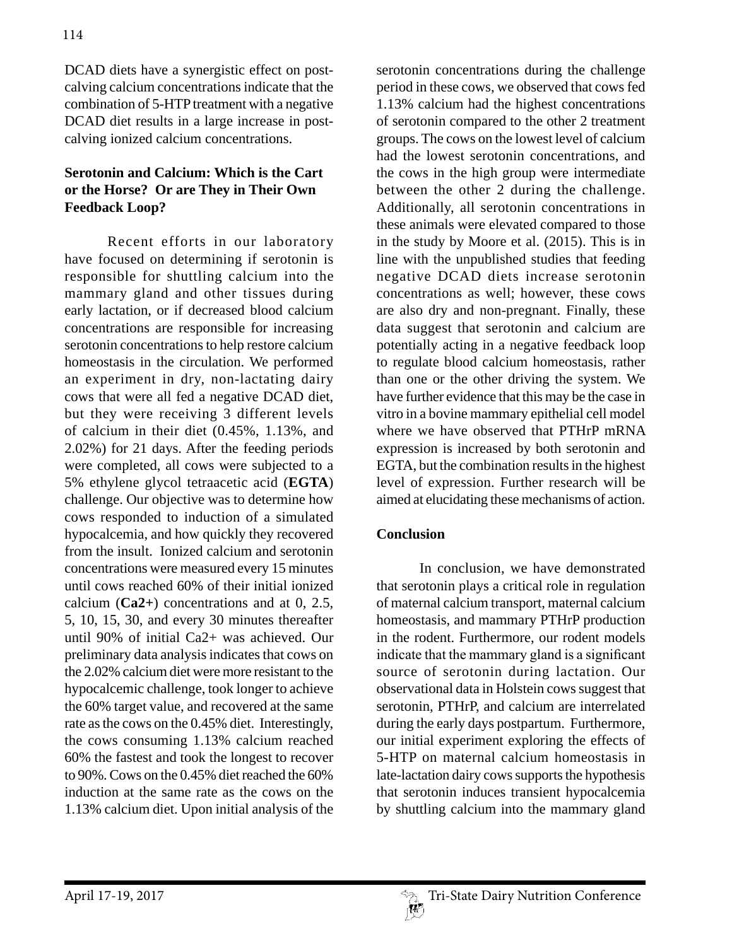DCAD diets have a synergistic effect on postcalving calcium concentrations indicate that the combination of 5-HTP treatment with a negative DCAD diet results in a large increase in postcalving ionized calcium concentrations.

# **Serotonin and Calcium: Which is the Cart or the Horse? Or are They in Their Own Feedback Loop?**

Recent efforts in our laboratory have focused on determining if serotonin is responsible for shuttling calcium into the mammary gland and other tissues during early lactation, or if decreased blood calcium concentrations are responsible for increasing serotonin concentrations to help restore calcium homeostasis in the circulation. We performed an experiment in dry, non-lactating dairy cows that were all fed a negative DCAD diet, but they were receiving 3 different levels of calcium in their diet (0.45%, 1.13%, and 2.02%) for 21 days. After the feeding periods were completed, all cows were subjected to a 5% ethylene glycol tetraacetic acid (**EGTA**) challenge. Our objective was to determine how cows responded to induction of a simulated hypocalcemia, and how quickly they recovered from the insult. Ionized calcium and serotonin concentrations were measured every 15 minutes until cows reached 60% of their initial ionized calcium (**Ca2+**) concentrations and at 0, 2.5, 5, 10, 15, 30, and every 30 minutes thereafter until 90% of initial Ca2+ was achieved. Our preliminary data analysis indicates that cows on the 2.02% calcium diet were more resistant to the hypocalcemic challenge, took longer to achieve the 60% target value, and recovered at the same rate as the cows on the 0.45% diet. Interestingly, the cows consuming 1.13% calcium reached 60% the fastest and took the longest to recover to 90%. Cows on the 0.45% diet reached the 60% induction at the same rate as the cows on the 1.13% calcium diet. Upon initial analysis of the

serotonin concentrations during the challenge period in these cows, we observed that cows fed 1.13% calcium had the highest concentrations of serotonin compared to the other 2 treatment groups. The cows on the lowest level of calcium had the lowest serotonin concentrations, and the cows in the high group were intermediate between the other 2 during the challenge. Additionally, all serotonin concentrations in these animals were elevated compared to those in the study by Moore et al. (2015). This is in line with the unpublished studies that feeding negative DCAD diets increase serotonin concentrations as well; however, these cows are also dry and non-pregnant. Finally, these data suggest that serotonin and calcium are potentially acting in a negative feedback loop to regulate blood calcium homeostasis, rather than one or the other driving the system. We have further evidence that this may be the case in vitro in a bovine mammary epithelial cell model where we have observed that PTHrP mRNA expression is increased by both serotonin and EGTA, but the combination results in the highest level of expression. Further research will be aimed at elucidating these mechanisms of action.

#### **Conclusion**

In conclusion, we have demonstrated that serotonin plays a critical role in regulation of maternal calcium transport, maternal calcium homeostasis, and mammary PTHrP production in the rodent. Furthermore, our rodent models indicate that the mammary gland is a significant source of serotonin during lactation. Our observational data in Holstein cows suggest that serotonin, PTHrP, and calcium are interrelated during the early days postpartum. Furthermore, our initial experiment exploring the effects of 5-HTP on maternal calcium homeostasis in late-lactation dairy cows supports the hypothesis that serotonin induces transient hypocalcemia by shuttling calcium into the mammary gland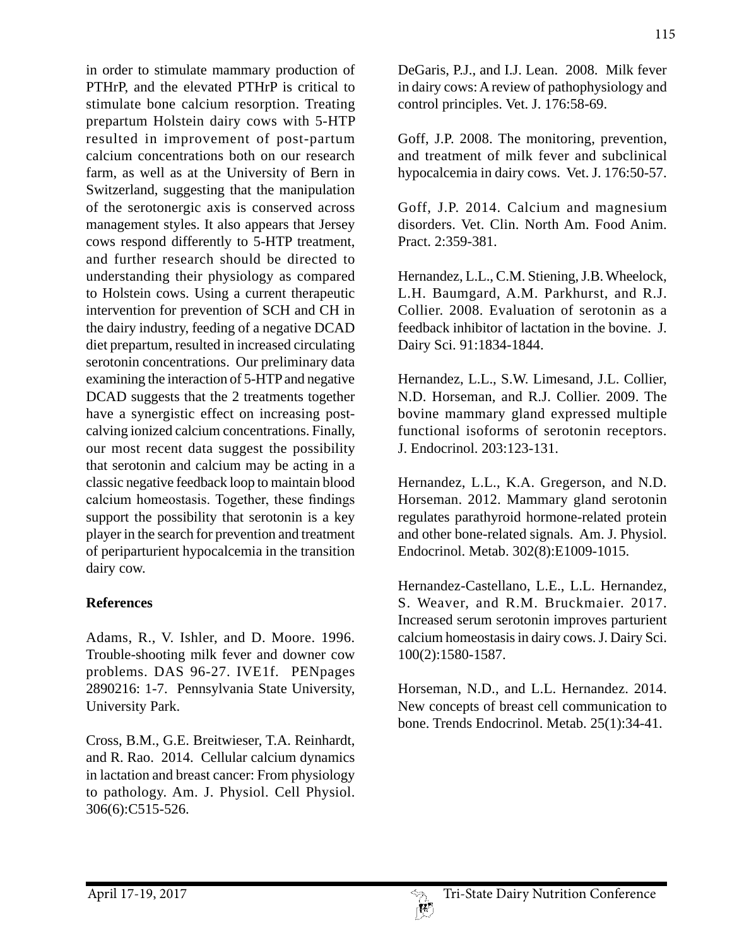in order to stimulate mammary production of PTHrP, and the elevated PTHrP is critical to stimulate bone calcium resorption. Treating prepartum Holstein dairy cows with 5-HTP resulted in improvement of post-partum calcium concentrations both on our research farm, as well as at the University of Bern in Switzerland, suggesting that the manipulation of the serotonergic axis is conserved across management styles. It also appears that Jersey cows respond differently to 5-HTP treatment, and further research should be directed to understanding their physiology as compared to Holstein cows. Using a current therapeutic intervention for prevention of SCH and CH in the dairy industry, feeding of a negative DCAD diet prepartum, resulted in increased circulating serotonin concentrations. Our preliminary data examining the interaction of 5-HTP and negative DCAD suggests that the 2 treatments together have a synergistic effect on increasing postcalving ionized calcium concentrations. Finally, our most recent data suggest the possibility that serotonin and calcium may be acting in a classic negative feedback loop to maintain blood calcium homeostasis. Together, these findings support the possibility that serotonin is a key player in the search for prevention and treatment of periparturient hypocalcemia in the transition dairy cow.

# **References**

Adams, R., V. Ishler, and D. Moore. 1996. Trouble-shooting milk fever and downer cow problems. DAS 96-27. IVE1f. PENpages 2890216: 1-7. Pennsylvania State University, University Park.

Cross, B.M., G.E. Breitwieser, T.A. Reinhardt, and R. Rao. 2014. Cellular calcium dynamics in lactation and breast cancer: From physiology to pathology. Am. J. Physiol. Cell Physiol. 306(6):C515-526.

DeGaris, P.J., and I.J. Lean. 2008. Milk fever in dairy cows: A review of pathophysiology and control principles. Vet. J. 176:58-69.

Goff, J.P. 2008. The monitoring, prevention, and treatment of milk fever and subclinical hypocalcemia in dairy cows. Vet. J. 176:50-57.

Goff, J.P. 2014. Calcium and magnesium disorders. Vet. Clin. North Am. Food Anim. Pract. 2:359-381.

Hernandez, L.L., C.M. Stiening, J.B. Wheelock, L.H. Baumgard, A.M. Parkhurst, and R.J. Collier. 2008. Evaluation of serotonin as a feedback inhibitor of lactation in the bovine. J. Dairy Sci. 91:1834-1844.

Hernandez, L.L., S.W. Limesand, J.L. Collier, N.D. Horseman, and R.J. Collier. 2009. The bovine mammary gland expressed multiple functional isoforms of serotonin receptors. J. Endocrinol. 203:123-131.

Hernandez, L.L., K.A. Gregerson, and N.D. Horseman. 2012. Mammary gland serotonin regulates parathyroid hormone-related protein and other bone-related signals. Am. J. Physiol. Endocrinol. Metab. 302(8):E1009-1015.

Hernandez-Castellano, L.E., L.L. Hernandez, S. Weaver, and R.M. Bruckmaier. 2017. Increased serum serotonin improves parturient calcium homeostasis in dairy cows. J. Dairy Sci. 100(2):1580-1587.

Horseman, N.D., and L.L. Hernandez. 2014. New concepts of breast cell communication to bone. Trends Endocrinol. Metab. 25(1):34-41.

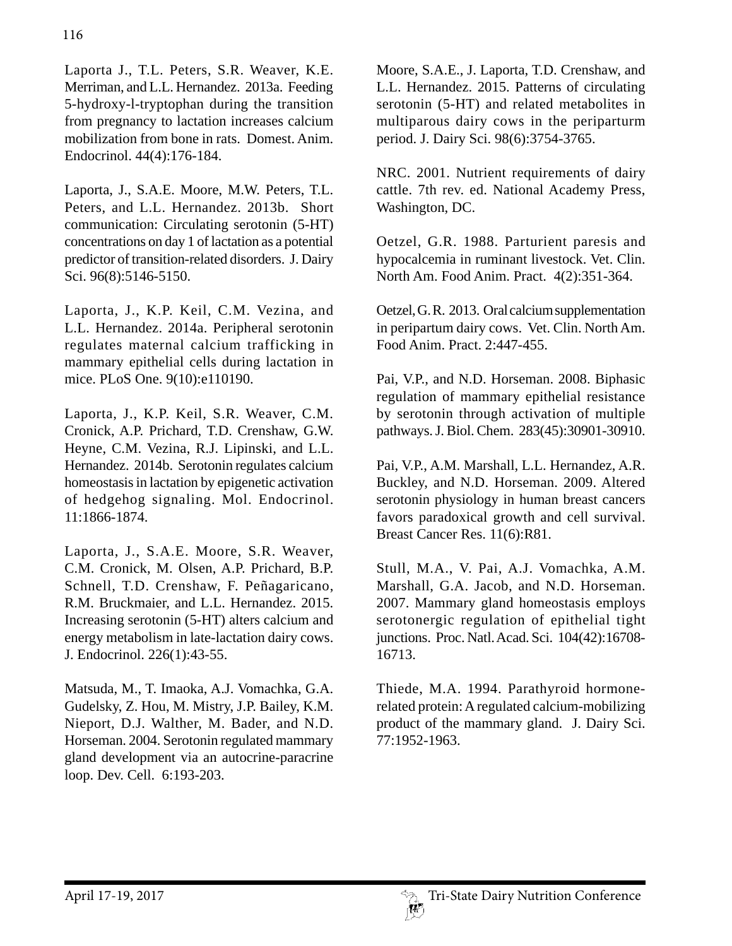Laporta J., T.L. Peters, S.R. Weaver, K.E. Merriman, and L.L. Hernandez. 2013a. Feeding 5-hydroxy-l-tryptophan during the transition from pregnancy to lactation increases calcium mobilization from bone in rats. Domest. Anim. Endocrinol. 44(4):176-184.

Laporta, J., S.A.E. Moore, M.W. Peters, T.L. Peters, and L.L. Hernandez. 2013b. Short communication: Circulating serotonin (5-HT) concentrations on day 1 of lactation as a potential predictor of transition-related disorders. J. Dairy Sci. 96(8):5146-5150.

Laporta, J., K.P. Keil, C.M. Vezina, and L.L. Hernandez. 2014a. Peripheral serotonin regulates maternal calcium trafficking in mammary epithelial cells during lactation in mice. PLoS One. 9(10):e110190.

Laporta, J., K.P. Keil, S.R. Weaver, C.M. Cronick, A.P. Prichard, T.D. Crenshaw, G.W. Heyne, C.M. Vezina, R.J. Lipinski, and L.L. Hernandez. 2014b. Serotonin regulates calcium homeostasis in lactation by epigenetic activation of hedgehog signaling. Mol. Endocrinol. 11:1866-1874.

Laporta, J., S.A.E. Moore, S.R. Weaver, C.M. Cronick, M. Olsen, A.P. Prichard, B.P. Schnell, T.D. Crenshaw, F. Peñagaricano, R.M. Bruckmaier, and L.L. Hernandez. 2015. Increasing serotonin (5-HT) alters calcium and energy metabolism in late-lactation dairy cows. J. Endocrinol. 226(1):43-55.

Matsuda, M., T. Imaoka, A.J. Vomachka, G.A. Gudelsky, Z. Hou, M. Mistry, J.P. Bailey, K.M. Nieport, D.J. Walther, M. Bader, and N.D. Horseman. 2004. Serotonin regulated mammary gland development via an autocrine-paracrine loop. Dev. Cell. 6:193-203.

Moore, S.A.E., J. Laporta, T.D. Crenshaw, and L.L. Hernandez. 2015. Patterns of circulating serotonin (5-HT) and related metabolites in multiparous dairy cows in the periparturm period. J. Dairy Sci. 98(6):3754-3765.

NRC. 2001. Nutrient requirements of dairy cattle. 7th rev. ed. National Academy Press, Washington, DC.

Oetzel, G.R. 1988. Parturient paresis and hypocalcemia in ruminant livestock. Vet. Clin. North Am. Food Anim. Pract. 4(2):351-364.

Oetzel, G. R. 2013. Oral calcium supplementation in peripartum dairy cows. Vet. Clin. North Am. Food Anim. Pract. 2:447-455.

Pai, V.P., and N.D. Horseman. 2008. Biphasic regulation of mammary epithelial resistance by serotonin through activation of multiple pathways. J. Biol. Chem. 283(45):30901-30910.

Pai, V.P., A.M. Marshall, L.L. Hernandez, A.R. Buckley, and N.D. Horseman. 2009. Altered serotonin physiology in human breast cancers favors paradoxical growth and cell survival. Breast Cancer Res. 11(6):R81.

Stull, M.A., V. Pai, A.J. Vomachka, A.M. Marshall, G.A. Jacob, and N.D. Horseman. 2007. Mammary gland homeostasis employs serotonergic regulation of epithelial tight junctions. Proc. Natl. Acad. Sci. 104(42):16708- 16713.

Thiede, M.A. 1994. Parathyroid hormonerelated protein: A regulated calcium-mobilizing product of the mammary gland. J. Dairy Sci. 77:1952-1963.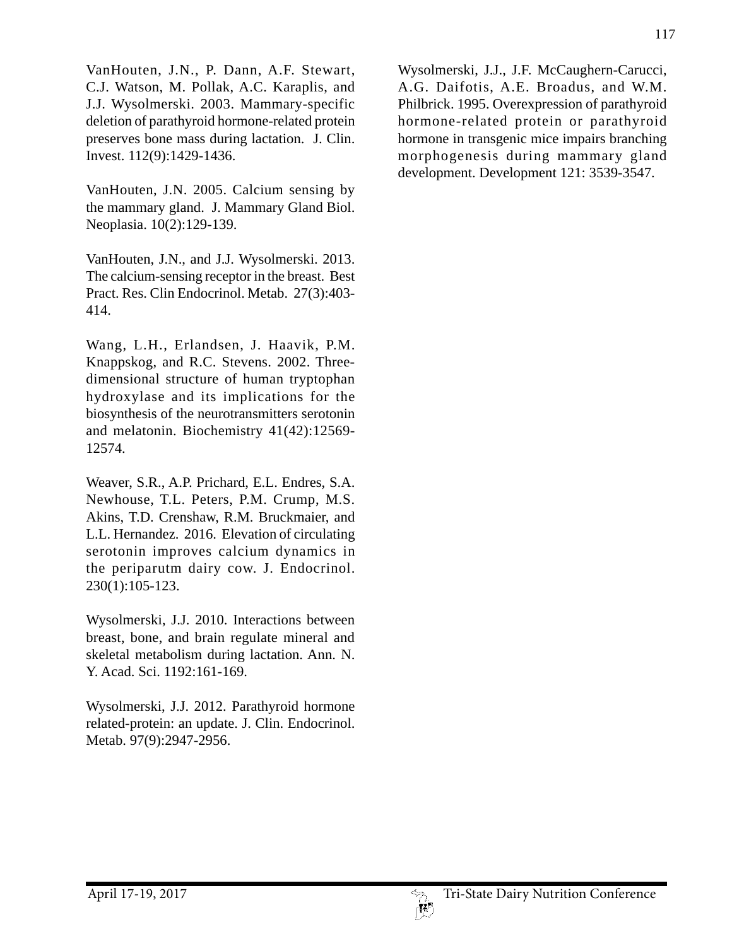VanHouten, J.N., P. Dann, A.F. Stewart, C.J. Watson, M. Pollak, A.C. Karaplis, and J.J. Wysolmerski. 2003. Mammary-specific deletion of parathyroid hormone-related protein preserves bone mass during lactation. J. Clin. Invest. 112(9):1429-1436.

VanHouten, J.N. 2005. Calcium sensing by the mammary gland. J. Mammary Gland Biol. Neoplasia. 10(2):129-139.

VanHouten, J.N., and J.J. Wysolmerski. 2013. The calcium-sensing receptor in the breast. Best Pract. Res. Clin Endocrinol. Metab. 27(3):403- 414.

Wang, L.H., Erlandsen, J. Haavik, P.M. Knappskog, and R.C. Stevens. 2002. Threedimensional structure of human tryptophan hydroxylase and its implications for the biosynthesis of the neurotransmitters serotonin and melatonin. Biochemistry 41(42):12569- 12574.

Weaver, S.R., A.P. Prichard, E.L. Endres, S.A. Newhouse, T.L. Peters, P.M. Crump, M.S. Akins, T.D. Crenshaw, R.M. Bruckmaier, and L.L. Hernandez. 2016. Elevation of circulating serotonin improves calcium dynamics in the periparutm dairy cow. J. Endocrinol. 230(1):105-123.

Wysolmerski, J.J. 2010. Interactions between breast, bone, and brain regulate mineral and skeletal metabolism during lactation. Ann. N. Y. Acad. Sci. 1192:161-169.

Wysolmerski, J.J. 2012. Parathyroid hormone related-protein: an update. J. Clin. Endocrinol. Metab. 97(9):2947-2956.

Wysolmerski, J.J., J.F. McCaughern-Carucci, A.G. Daifotis, A.E. Broadus, and W.M. Philbrick. 1995. Overexpression of parathyroid hormone-related protein or parathyroid hormone in transgenic mice impairs branching morphogenesis during mammary gland development. Development 121: 3539-3547.

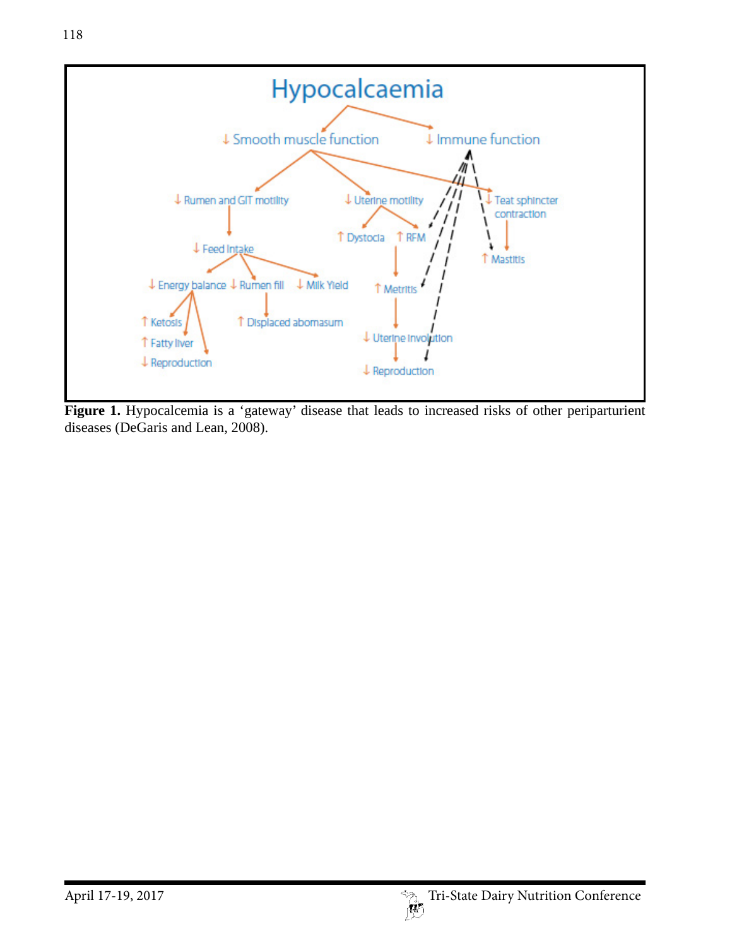

Figure 1. Hypocalcemia is a 'gateway' disease that leads to increased risks of other periparturient diseases (DeGaris and Lean, 2008).